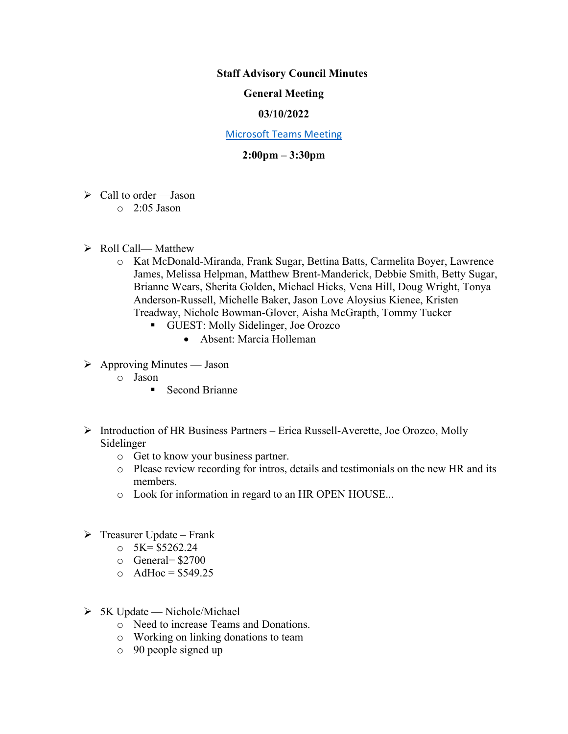### **Staff Advisory Council Minutes**

## **General Meeting**

### **03/10/2022**

#### [Microsoft Teams Meeting](https://nam05.safelinks.protection.outlook.com/ap/t-59584e83/?url=https%3A%2F%2Fteams.microsoft.com%2Fl%2Fmeetup-join%2F19%253ameeting_MzkxMmQzZTYtNGNiMi00YTJjLWI3MTMtOTlhMmNmOTE4Zjhj%2540thread.v2%2F0%3Fcontext%3D%257b%2522Tid%2522%253a%252260a9d377-c827-41a1-bbf0-1aad34db4c89%2522%252c%2522Oid%2522%253a%2522d493b17b-9cb3-43b8-b2df-d22f32aad747%2522%257d&data=02%7C01%7Cakienee1%40cscc.edu%7Cd9d721b99f4d408c215208d7647bc8db%7C60a9d377c82741a1bbf01aad34db4c89%7C0%7C0%7C637088355127916457&sdata=hlB7BeFFj4%2Fu5SHTbph%2BpYbfXevGFZ5zd4DxSsQlyzY%3D&reserved=0)

# **2:00pm – 3:30pm**

- $\triangleright$  Call to order —Jason
	- $\circ$  2:05 Jason
- $\triangleright$  Roll Call— Matthew
	- o Kat McDonald-Miranda, Frank Sugar, Bettina Batts, Carmelita Boyer, Lawrence James, Melissa Helpman, Matthew Brent-Manderick, Debbie Smith, Betty Sugar, Brianne Wears, Sherita Golden, Michael Hicks, Vena Hill, Doug Wright, Tonya Anderson-Russell, Michelle Baker, Jason Love Aloysius Kienee, Kristen Treadway, Nichole Bowman-Glover, Aisha McGrapth, Tommy Tucker
		- GUEST: Molly Sidelinger, Joe Orozco
			- Absent: Marcia Holleman
- $\triangleright$  Approving Minutes Jason
	- o Jason
		- Second Brianne
- $\triangleright$  Introduction of HR Business Partners Erica Russell-Averette, Joe Orozco, Molly Sidelinger
	- o Get to know your business partner.
	- o Please review recording for intros, details and testimonials on the new HR and its members.
	- o Look for information in regard to an HR OPEN HOUSE...
- $\triangleright$  Treasurer Update Frank
	- $\circ$  5K= \$5262.24
	- o General= \$2700
	- $O$  AdHoc = \$549.25
- $> 5K$  Update Nichole/Michael
	- o Need to increase Teams and Donations.
	- o Working on linking donations to team
	- o 90 people signed up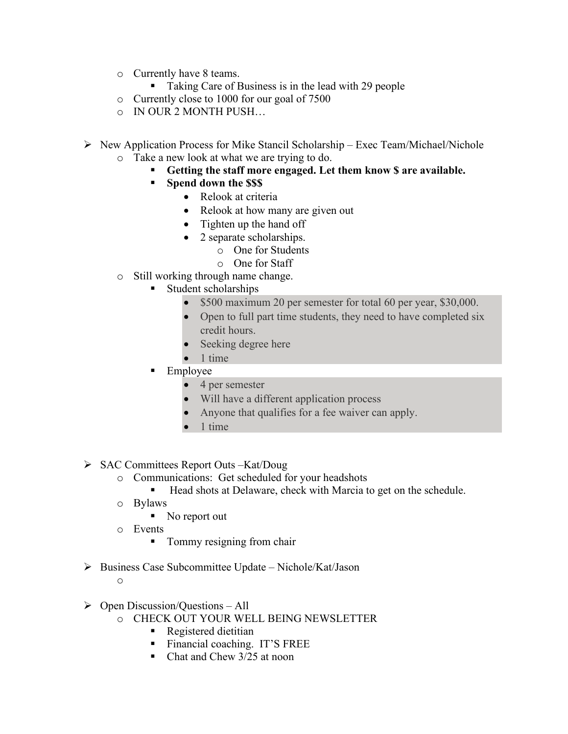- o Currently have 8 teams.
	- Taking Care of Business is in the lead with 29 people
- o Currently close to 1000 for our goal of 7500
- o IN OUR 2 MONTH PUSH…
- $\triangleright$  New Application Process for Mike Stancil Scholarship Exec Team/Michael/Nichole
	- o Take a new look at what we are trying to do.
		- **Getting the staff more engaged. Let them know \$ are available.**
		- **Spend down the \$\$\$**
			- Relook at criteria
			- Relook at how many are given out
			- Tighten up the hand off
			- 2 separate scholarships.
				- o One for Students
				- o One for Staff
	- o Still working through name change.
		- Student scholarships
			- \$500 maximum 20 per semester for total 60 per year, \$30,000.
			- Open to full part time students, they need to have completed six credit hours.
			- Seeking degree here
			- 1 time
		- Employee
			- 4 per semester
			- Will have a different application process
			- Anyone that qualifies for a fee waiver can apply.
			- 1 time
- $\triangleright$  SAC Committees Report Outs –Kat/Doug
	- o Communications: Get scheduled for your headshots
		- Head shots at Delaware, check with Marcia to get on the schedule.
	- o Bylaws
		- No report out
	- o Events
		- Tommy resigning from chair
- $\triangleright$  Business Case Subcommittee Update Nichole/Kat/Jason
	- o
- $\triangleright$  Open Discussion/Questions All
	- o CHECK OUT YOUR WELL BEING NEWSLETTER
		- Registered dietitian
		- Financial coaching. IT'S FREE
		- Chat and Chew 3/25 at noon